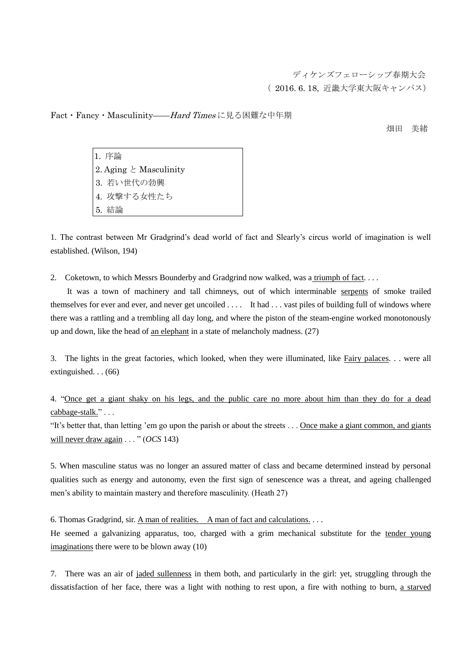ディケンズフェローシップ春期大会 ( 2016. 6. 18, 近畿大学東大阪キャンパス)

Fact · Fancy · Masculinity–––*Hard Times* に見る困難な中年期

アンストランス しゅうしょう しゅうしょう しゅうしょう アイスト 御田 美緒

1.1 1. 序論 2. Aging  $\geq$  Masculinity 3. 3. 若い世代の勃興 4. 4. 攻撃する女性たち 5. 5. 結論

1. The contrast between Mr Gradgrind's dead world of fact and Slearly's circus world of imagination is well established. (Wilson, 194)

2. Coketown, to which Messrs Bounderby and Gradgrind now walked, was a triumph of fact. . . .

 It was a town of machinery and tall chimneys, out of which interminable serpents of smoke trailed themselves for ever and ever, and never get uncoiled . . . . It had . . . vast piles of building full of windows where there was a rattling and a trembling all day long, and where the piston of the steam-engine worked monotonously up and down, like the head of an elephant in a state of melancholy madness. (27)

3. The lights in the great factories, which looked, when they were illuminated, like Fairy palaces. . . were all extinguished. . . (66)

4. "Once get a giant shaky on his legs, and the public care no more about him than they do for a dead cabbage-stalk." . . .

"It's better that, than letting 'em go upon the parish or about the streets . . . Once make a giant common, and giants will never draw again . . . " (*OCS* 143)

5. When masculine status was no longer an assured matter of class and became determined instead by personal qualities such as energy and autonomy, even the first sign of senescence was a threat, and ageing challenged men's ability to maintain mastery and therefore masculinity. (Heath 27)

6. Thomas Gradgrind, sir. A man of realities. A man of fact and calculations. . . .

He seemed a galvanizing apparatus, too, charged with a grim mechanical substitute for the tender young imaginations there were to be blown away (10)

7. There was an air of jaded sullenness in them both, and particularly in the girl: yet, struggling through the dissatisfaction of her face, there was a light with nothing to rest upon, a fire with nothing to burn, a starved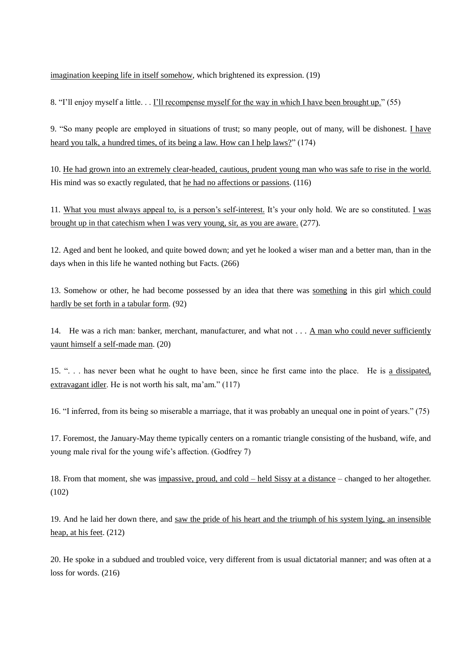imagination keeping life in itself somehow, which brightened its expression. (19)

8. "I'll enjoy myself a little. . . I'll recompense myself for the way in which I have been brought up." (55)

9. "So many people are employed in situations of trust; so many people, out of many, will be dishonest. I have heard you talk, a hundred times, of its being a law. How can I help laws?" (174)

10. He had grown into an extremely clear-headed, cautious, prudent young man who was safe to rise in the world. His mind was so exactly regulated, that he had no affections or passions. (116)

11. What you must always appeal to, is a person's self-interest. It's your only hold. We are so constituted. I was brought up in that catechism when I was very young, sir, as you are aware. (277).

12. Aged and bent he looked, and quite bowed down; and yet he looked a wiser man and a better man, than in the days when in this life he wanted nothing but Facts. (266)

13. Somehow or other, he had become possessed by an idea that there was something in this girl which could hardly be set forth in a tabular form. (92)

14. He was a rich man: banker, merchant, manufacturer, and what not . . . A man who could never sufficiently vaunt himself a self-made man. (20)

15. ". . . has never been what he ought to have been, since he first came into the place. He is a dissipated, extravagant idler. He is not worth his salt, ma'am." (117)

16. "I inferred, from its being so miserable a marriage, that it was probably an unequal one in point of years." (75)

17. Foremost, the January-May theme typically centers on a romantic triangle consisting of the husband, wife, and young male rival for the young wife's affection. (Godfrey 7)

18. From that moment, she was impassive, proud, and cold – held Sissy at a distance – changed to her altogether. (102)

19. And he laid her down there, and saw the pride of his heart and the triumph of his system lying, an insensible heap, at his feet. (212)

20. He spoke in a subdued and troubled voice, very different from is usual dictatorial manner; and was often at a loss for words. (216)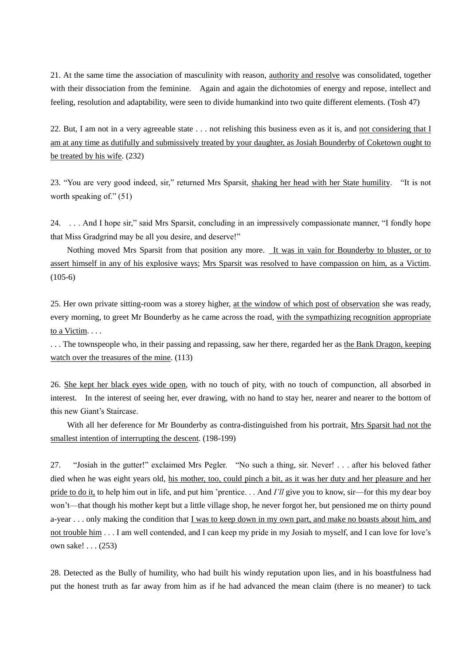21. At the same time the association of masculinity with reason, authority and resolve was consolidated, together with their dissociation from the feminine. Again and again the dichotomies of energy and repose, intellect and feeling, resolution and adaptability, were seen to divide humankind into two quite different elements. (Tosh 47)

22. But, I am not in a very agreeable state  $\dots$  not relishing this business even as it is, and not considering that I am at any time as dutifully and submissively treated by your daughter, as Josiah Bounderby of Coketown ought to be treated by his wife. (232)

23. "You are very good indeed, sir," returned Mrs Sparsit, shaking her head with her State humility. "It is not worth speaking of." (51)

24. . . . And I hope sir," said Mrs Sparsit, concluding in an impressively compassionate manner, "I fondly hope that Miss Gradgrind may be all you desire, and deserve!"

 Nothing moved Mrs Sparsit from that position any more. It was in vain for Bounderby to bluster, or to assert himself in any of his explosive ways; Mrs Sparsit was resolved to have compassion on him, as a Victim. (105-6)

25. Her own private sitting-room was a storey higher, at the window of which post of observation she was ready, every morning, to greet Mr Bounderby as he came across the road, with the sympathizing recognition appropriate to a Victim. . . .

. . . The townspeople who, in their passing and repassing, saw her there, regarded her as the Bank Dragon, keeping watch over the treasures of the mine.  $(113)$ 

26. She kept her black eyes wide open, with no touch of pity, with no touch of compunction, all absorbed in interest. In the interest of seeing her, ever drawing, with no hand to stay her, nearer and nearer to the bottom of this new Giant's Staircase.

With all her deference for Mr Bounderby as contra-distinguished from his portrait, Mrs Sparsit had not the smallest intention of interrupting the descent. (198-199)

27. "Josiah in the gutter!" exclaimed Mrs Pegler. "No such a thing, sir. Never! . . . after his beloved father died when he was eight years old, his mother, too, could pinch a bit, as it was her duty and her pleasure and her pride to do it, to help him out in life, and put him 'prentice. . . And *I'll* give you to know, sir—for this my dear boy won't—that though his mother kept but a little village shop, he never forgot her, but pensioned me on thirty pound a-year . . . only making the condition that I was to keep down in my own part, and make no boasts about him, and not trouble him . . . I am well contended, and I can keep my pride in my Josiah to myself, and I can love for love's own sake! . . . (253)

28. Detected as the Bully of humility, who had built his windy reputation upon lies, and in his boastfulness had put the honest truth as far away from him as if he had advanced the mean claim (there is no meaner) to tack